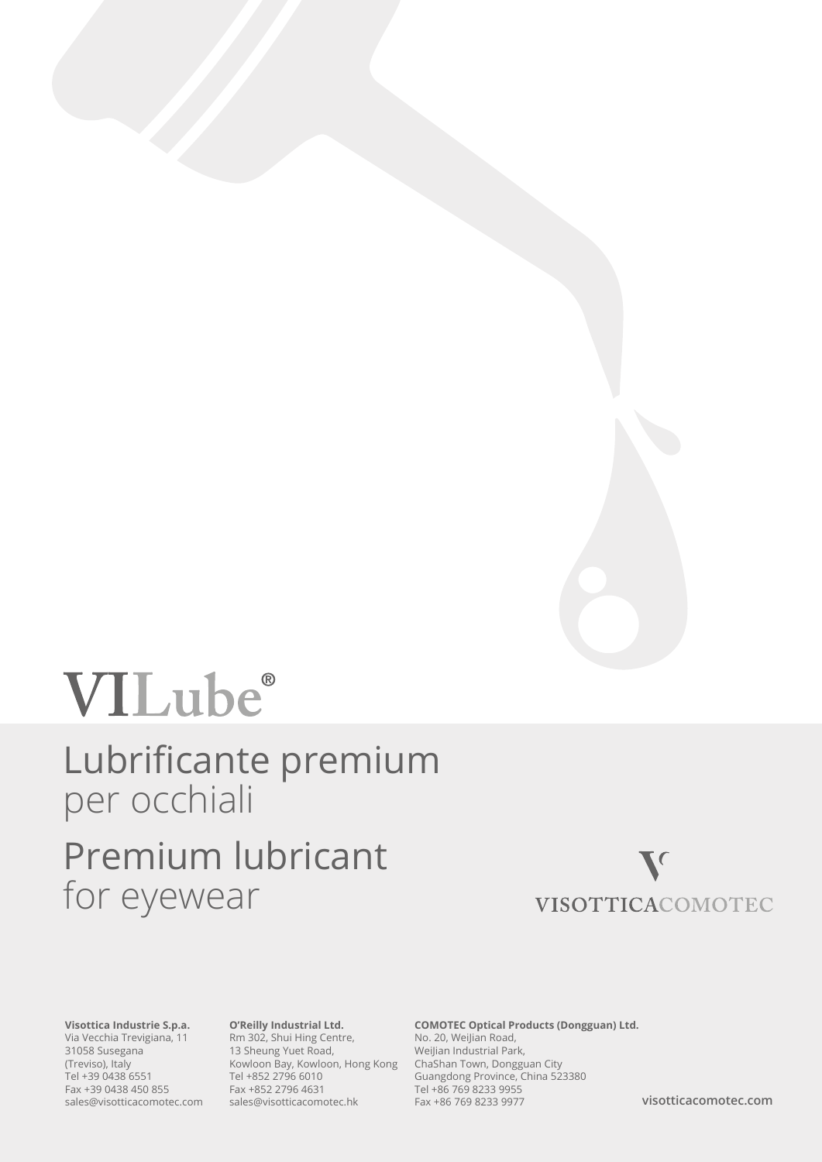# VILube®

# Lubrificante premium per occhiali Premium lubricant for eyewear

### $\blacktriangledown$ VISOTTICACOMOTEC

**Visottica Industrie S.p.a.**  Via Vecchia Trevigiana, 11 31058 Susegana (Treviso), Italy Tel +39 0438 6551 Fax +39 0438 450 855 sales@visotticacomotec.com

#### **O'Reilly Industrial Ltd.**

Rm 302, Shui Hing Centre, 13 Sheung Yuet Road, Kowloon Bay, Kowloon, Hong Kong Tel +852 2796 6010 Fax +852 2796 4631 sales@visotticacomotec.hk

#### **COMOTEC Optical Products (Dongguan) Ltd.** No. 20, Weilian Road, WeiJian Industrial Park, ChaShan Town, Dongguan City Guangdong Province, China 523380 Tel +86 769 8233 9955 Fax +86 769 8233 9977

**visotticacomotec.com**